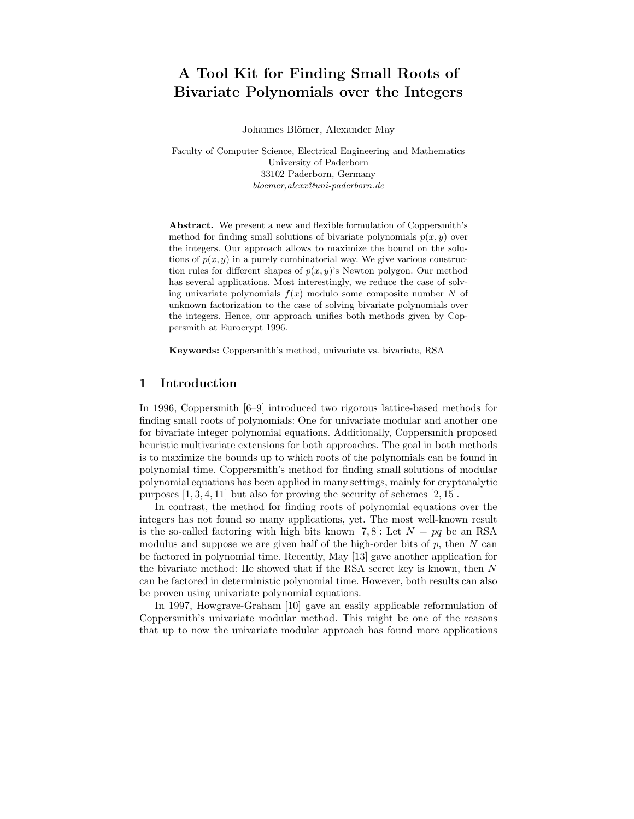# A Tool Kit for Finding Small Roots of Bivariate Polynomials over the Integers

Johannes Blömer, Alexander May

Faculty of Computer Science, Electrical Engineering and Mathematics University of Paderborn 33102 Paderborn, Germany bloemer,alexx@uni-paderborn.de

Abstract. We present a new and flexible formulation of Coppersmith's method for finding small solutions of bivariate polynomials  $p(x, y)$  over the integers. Our approach allows to maximize the bound on the solutions of  $p(x, y)$  in a purely combinatorial way. We give various construction rules for different shapes of  $p(x, y)$ 's Newton polygon. Our method has several applications. Most interestingly, we reduce the case of solving univariate polynomials  $f(x)$  modulo some composite number N of unknown factorization to the case of solving bivariate polynomials over the integers. Hence, our approach unifies both methods given by Coppersmith at Eurocrypt 1996.

Keywords: Coppersmith's method, univariate vs. bivariate, RSA

## 1 Introduction

In 1996, Coppersmith [6–9] introduced two rigorous lattice-based methods for finding small roots of polynomials: One for univariate modular and another one for bivariate integer polynomial equations. Additionally, Coppersmith proposed heuristic multivariate extensions for both approaches. The goal in both methods is to maximize the bounds up to which roots of the polynomials can be found in polynomial time. Coppersmith's method for finding small solutions of modular polynomial equations has been applied in many settings, mainly for cryptanalytic purposes  $[1, 3, 4, 11]$  but also for proving the security of schemes  $[2, 15]$ .

In contrast, the method for finding roots of polynomial equations over the integers has not found so many applications, yet. The most well-known result is the so-called factoring with high bits known [7,8]: Let  $N = pq$  be an RSA modulus and suppose we are given half of the high-order bits of  $p$ , then  $N$  can be factored in polynomial time. Recently, May [13] gave another application for the bivariate method: He showed that if the RSA secret key is known, then N can be factored in deterministic polynomial time. However, both results can also be proven using univariate polynomial equations.

In 1997, Howgrave-Graham [10] gave an easily applicable reformulation of Coppersmith's univariate modular method. This might be one of the reasons that up to now the univariate modular approach has found more applications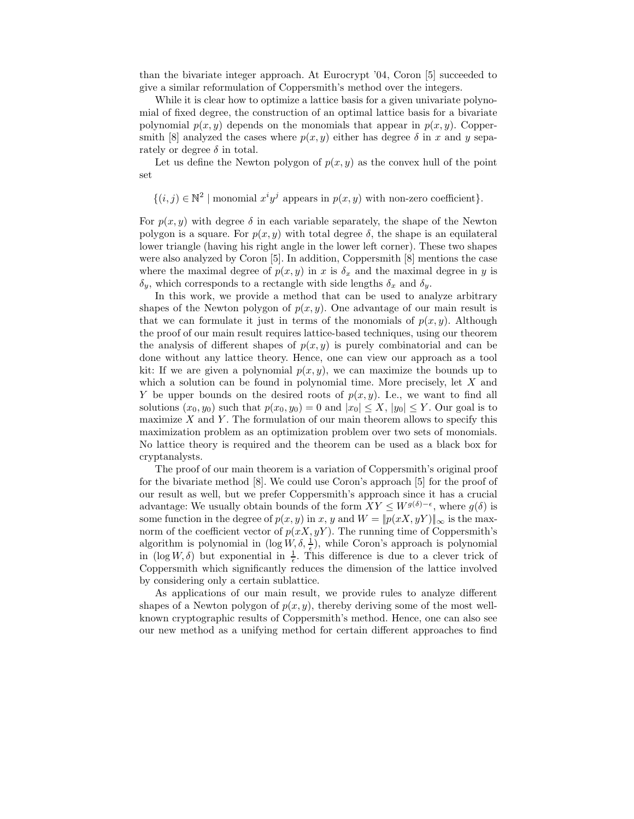than the bivariate integer approach. At Eurocrypt '04, Coron [5] succeeded to give a similar reformulation of Coppersmith's method over the integers.

While it is clear how to optimize a lattice basis for a given univariate polynomial of fixed degree, the construction of an optimal lattice basis for a bivariate polynomial  $p(x, y)$  depends on the monomials that appear in  $p(x, y)$ . Coppersmith [8] analyzed the cases where  $p(x, y)$  either has degree  $\delta$  in x and y separately or degree  $\delta$  in total.

Let us define the Newton polygon of  $p(x, y)$  as the convex hull of the point set

 $\{(i,j) \in \mathbb{N}^2 \mid \text{monomial } x^i y^j \text{ appears in } p(x,y) \text{ with non-zero coefficient}\}.$ 

For  $p(x, y)$  with degree  $\delta$  in each variable separately, the shape of the Newton polygon is a square. For  $p(x, y)$  with total degree  $\delta$ , the shape is an equilateral lower triangle (having his right angle in the lower left corner). These two shapes were also analyzed by Coron [5]. In addition, Coppersmith [8] mentions the case where the maximal degree of  $p(x, y)$  in x is  $\delta_x$  and the maximal degree in y is  $\delta_y$ , which corresponds to a rectangle with side lengths  $\delta_x$  and  $\delta_y$ .

In this work, we provide a method that can be used to analyze arbitrary shapes of the Newton polygon of  $p(x, y)$ . One advantage of our main result is that we can formulate it just in terms of the monomials of  $p(x, y)$ . Although the proof of our main result requires lattice-based techniques, using our theorem the analysis of different shapes of  $p(x, y)$  is purely combinatorial and can be done without any lattice theory. Hence, one can view our approach as a tool kit: If we are given a polynomial  $p(x, y)$ , we can maximize the bounds up to which a solution can be found in polynomial time. More precisely, let  $X$  and Y be upper bounds on the desired roots of  $p(x, y)$ . I.e., we want to find all solutions  $(x_0, y_0)$  such that  $p(x_0, y_0) = 0$  and  $|x_0| \leq X$ ,  $|y_0| \leq Y$ . Our goal is to maximize  $X$  and  $Y$ . The formulation of our main theorem allows to specify this maximization problem as an optimization problem over two sets of monomials. No lattice theory is required and the theorem can be used as a black box for cryptanalysts.

The proof of our main theorem is a variation of Coppersmith's original proof for the bivariate method [8]. We could use Coron's approach [5] for the proof of our result as well, but we prefer Coppersmith's approach since it has a crucial advantage: We usually obtain bounds of the form  $XY \leq W^{g(\delta)-\epsilon}$ , where  $g(\delta)$  is some function in the degree of  $p(x, y)$  in x, y and  $W = ||p(xX, yY)||_{\infty}$  is the maxnorm of the coefficient vector of  $p(xX, yY)$ . The running time of Coppersmith's algorithm is polynomial in  $(\log W, \delta, \frac{1}{\epsilon})$ , while Coron's approach is polynomial in  $(\log W, \delta)$  but exponential in  $\frac{1}{\epsilon}$ . This difference is due to a clever trick of Coppersmith which significantly reduces the dimension of the lattice involved by considering only a certain sublattice.

As applications of our main result, we provide rules to analyze different shapes of a Newton polygon of  $p(x, y)$ , thereby deriving some of the most wellknown cryptographic results of Coppersmith's method. Hence, one can also see our new method as a unifying method for certain different approaches to find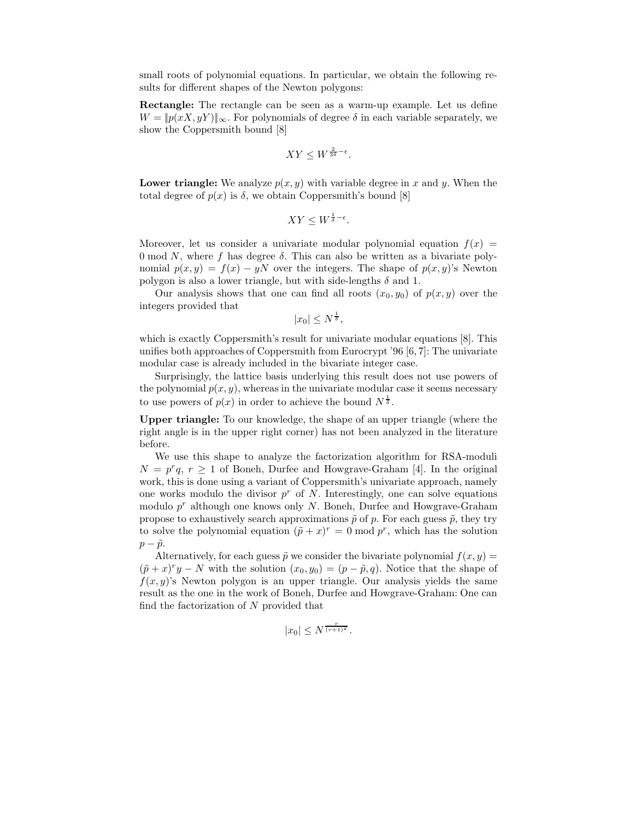small roots of polynomial equations. In particular, we obtain the following results for different shapes of the Newton polygons:

Rectangle: The rectangle can be seen as a warm-up example. Let us define  $W = ||p(xX, yY)||_{\infty}$ . For polynomials of degree  $\delta$  in each variable separately, we show the Coppersmith bound [8]

$$
XY \leq W^{\frac{2}{3\delta}-\epsilon}.
$$

**Lower triangle:** We analyze  $p(x, y)$  with variable degree in x and y. When the total degree of  $p(x)$  is  $\delta$ , we obtain Coppersmith's bound [8]

$$
XY \leq W^{\frac{1}{\delta} - \epsilon}.
$$

Moreover, let us consider a univariate modular polynomial equation  $f(x) =$ 0 mod N, where f has degree  $\delta$ . This can also be written as a bivariate polynomial  $p(x, y) = f(x) - yN$  over the integers. The shape of  $p(x, y)$ 's Newton polygon is also a lower triangle, but with side-lengths  $\delta$  and 1.

Our analysis shows that one can find all roots  $(x_0, y_0)$  of  $p(x, y)$  over the integers provided that

 $|x_0| \leq N^{\frac{1}{\delta}},$ 

which is exactly Coppersmith's result for univariate modular equations [8]. This unifies both approaches of Coppersmith from Eurocrypt '96 [6, 7]: The univariate modular case is already included in the bivariate integer case.

Surprisingly, the lattice basis underlying this result does not use powers of the polynomial  $p(x, y)$ , whereas in the univariate modular case it seems necessary to use powers of  $p(x)$  in order to achieve the bound  $N^{\frac{1}{\delta}}$ .

Upper triangle: To our knowledge, the shape of an upper triangle (where the right angle is in the upper right corner) has not been analyzed in the literature before.

We use this shape to analyze the factorization algorithm for RSA-moduli  $N = p^r q$ ,  $r \ge 1$  of Boneh, Durfee and Howgrave-Graham [4]. In the original work, this is done using a variant of Coppersmith's univariate approach, namely one works modulo the divisor  $p^r$  of N. Interestingly, one can solve equations modulo  $p^r$  although one knows only N. Boneh, Durfee and Howgrave-Graham propose to exhaustively search approximations  $\tilde{p}$  of p. For each guess  $\tilde{p}$ , they try to solve the polynomial equation  $(\tilde{p} + x)^r = 0 \text{ mod } p^r$ , which has the solution  $p - \tilde{p}$ .

Alternatively, for each guess  $\tilde{p}$  we consider the bivariate polynomial  $f(x, y) =$  $(\tilde{p} + x)^{r}y - N$  with the solution  $(x_0, y_0) = (p - \tilde{p}, q)$ . Notice that the shape of  $f(x, y)$ 's Newton polygon is an upper triangle. Our analysis yields the same result as the one in the work of Boneh, Durfee and Howgrave-Graham: One can find the factorization of  $N$  provided that

$$
|x_0| \le N^{\frac{r}{(r+1)^2}}.
$$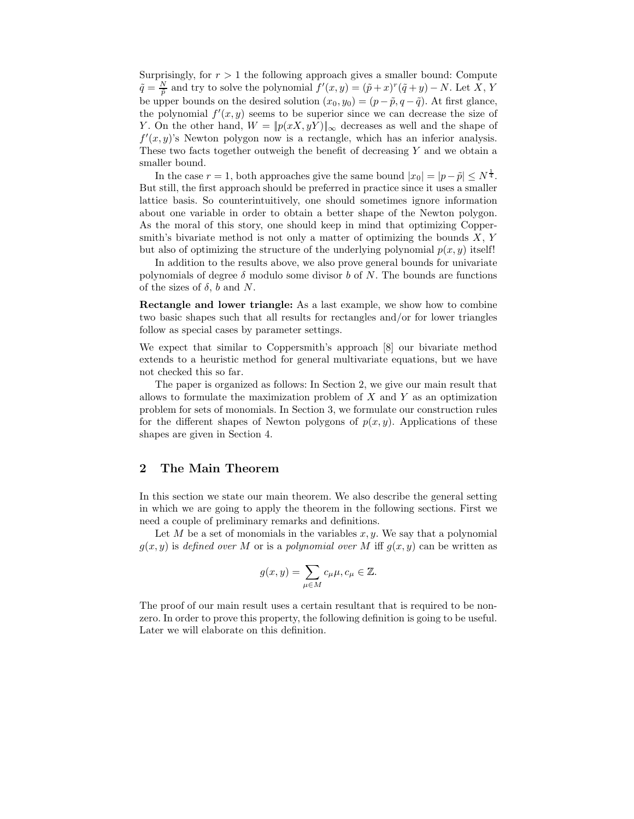Surprisingly, for  $r > 1$  the following approach gives a smaller bound: Compute  $\tilde{q} = \frac{N}{\tilde{p}}$  and try to solve the polynomial  $f'(x, y) = (\tilde{p} + x)^r (\tilde{q} + y) - N$ . Let X, Y be upper bounds on the desired solution  $(x_0, y_0) = (p - \tilde{p}, q - \tilde{q})$ . At first glance, the polynomial  $f'(x, y)$  seems to be superior since we can decrease the size of Y. On the other hand,  $W = ||p(xX, yY)||_{\infty}$  decreases as well and the shape of  $f'(x, y)$ 's Newton polygon now is a rectangle, which has an inferior analysis. These two facts together outweigh the benefit of decreasing  $Y$  and we obtain a smaller bound.

In the case  $r = 1$ , both approaches give the same bound  $|x_0| = |p - \tilde{p}| \le N^{\frac{1}{4}}$ . But still, the first approach should be preferred in practice since it uses a smaller lattice basis. So counterintuitively, one should sometimes ignore information about one variable in order to obtain a better shape of the Newton polygon. As the moral of this story, one should keep in mind that optimizing Coppersmith's bivariate method is not only a matter of optimizing the bounds  $X, Y$ but also of optimizing the structure of the underlying polynomial  $p(x, y)$  itself!

In addition to the results above, we also prove general bounds for univariate polynomials of degree  $\delta$  modulo some divisor b of N. The bounds are functions of the sizes of  $\delta$ , b and N.

Rectangle and lower triangle: As a last example, we show how to combine two basic shapes such that all results for rectangles and/or for lower triangles follow as special cases by parameter settings.

We expect that similar to Coppersmith's approach [8] our bivariate method extends to a heuristic method for general multivariate equations, but we have not checked this so far.

The paper is organized as follows: In Section 2, we give our main result that allows to formulate the maximization problem of  $X$  and  $Y$  as an optimization problem for sets of monomials. In Section 3, we formulate our construction rules for the different shapes of Newton polygons of  $p(x, y)$ . Applications of these shapes are given in Section 4.

### 2 The Main Theorem

In this section we state our main theorem. We also describe the general setting in which we are going to apply the theorem in the following sections. First we need a couple of preliminary remarks and definitions.

Let M be a set of monomials in the variables  $x, y$ . We say that a polynomial  $g(x, y)$  is defined over M or is a polynomial over M iff  $g(x, y)$  can be written as

$$
g(x,y) = \sum_{\mu \in M} c_{\mu} \mu, c_{\mu} \in \mathbb{Z}.
$$

The proof of our main result uses a certain resultant that is required to be nonzero. In order to prove this property, the following definition is going to be useful. Later we will elaborate on this definition.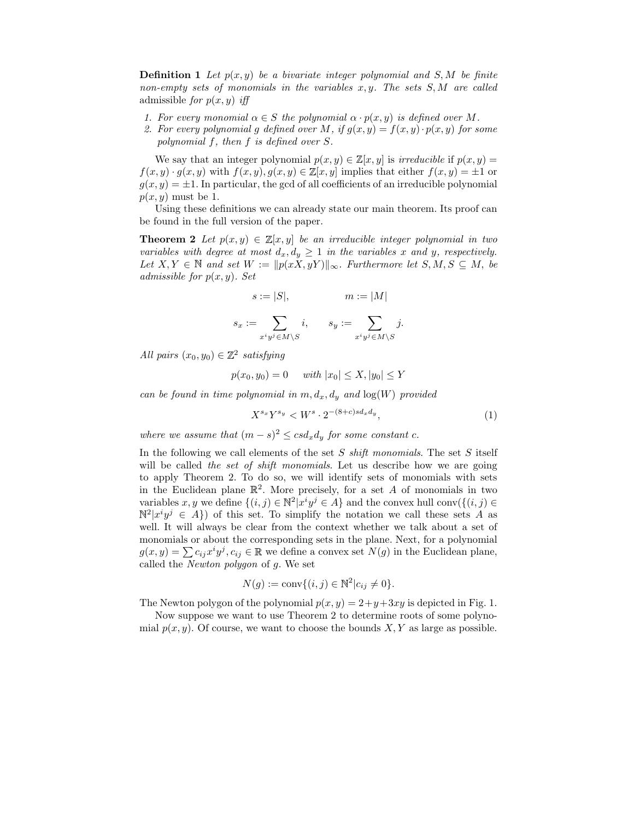**Definition 1** Let  $p(x, y)$  be a bivariate integer polynomial and S, M be finite non-empty sets of monomials in the variables  $x, y$ . The sets  $S, M$  are called admissible for  $p(x, y)$  iff

- 1. For every monomial  $\alpha \in S$  the polynomial  $\alpha \cdot p(x, y)$  is defined over M.
- 2. For every polynomial g defined over M, if  $g(x, y) = f(x, y) \cdot p(x, y)$  for some polynomial f, then f is defined over S.

We say that an integer polynomial  $p(x, y) \in \mathbb{Z}[x, y]$  is *irreducible* if  $p(x, y) =$  $f(x, y) \cdot g(x, y)$  with  $f(x, y), g(x, y) \in \mathbb{Z}[x, y]$  implies that either  $f(x, y) = \pm 1$  or  $g(x, y) = \pm 1$ . In particular, the gcd of all coefficients of an irreducible polynomial  $p(x, y)$  must be 1.

Using these definitions we can already state our main theorem. Its proof can be found in the full version of the paper.

**Theorem 2** Let  $p(x, y) \in \mathbb{Z}[x, y]$  be an irreducible integer polynomial in two variables with degree at most  $d_x, d_y \geq 1$  in the variables x and y, respectively. Let  $X, Y \in \mathbb{N}$  and set  $W := ||p(xX, yY)||_{\infty}$ . Furthermore let  $S, M, S \subseteq M$ , be admissible for  $p(x, y)$ . Set

$$
s := |S|, \qquad m := |M|
$$

$$
s_x := \sum_{x^i y^j \in M \setminus S} i, \qquad s_y := \sum_{x^i y^j \in M \setminus S} j.
$$

All pairs  $(x_0, y_0) \in \mathbb{Z}^2$  satisfying

$$
p(x_0, y_0) = 0
$$
 with  $|x_0| \le X, |y_0| \le Y$ 

can be found in time polynomial in  $m, d_x, d_y$  and  $log(W)$  provided

$$
X^{s_x}Y^{s_y} < W^s \cdot 2^{-(8+c)sd_xd_y},\tag{1}
$$

where we assume that  $(m - s)^2 \leq csd_xd_y$  for some constant c.

In the following we call elements of the set S shift monomials. The set S itself will be called the set of shift monomials. Let us describe how we are going to apply Theorem 2. To do so, we will identify sets of monomials with sets in the Euclidean plane  $\mathbb{R}^2$ . More precisely, for a set A of monomials in two variables  $x, y$  we define  $\{(i, j) \in \mathbb{N}^2 | x^i y^j \in A\}$  and the convex hull conv $(\{(i, j) \in \mathbb{N}^2 | x^i y^j \in A\})$  $\mathbb{N}^2|x^iy^j \in A\}$  of this set. To simplify the notation we call these sets A as well. It will always be clear from the context whether we talk about a set of monomials or about the corresponding sets in the plane. Next, for a polynomial  $g(x, y) = \sum c_{ij} x^i y^j, c_{ij} \in \mathbb{R}$  we define a convex set  $N(g)$  in the Euclidean plane, called the Newton polygon of g. We set

$$
N(g) := \text{conv}\{(i, j) \in \mathbb{N}^2 | c_{ij} \neq 0\}.
$$

The Newton polygon of the polynomial  $p(x, y) = 2+y+3xy$  is depicted in Fig. 1.

Now suppose we want to use Theorem 2 to determine roots of some polynomial  $p(x, y)$ . Of course, we want to choose the bounds X, Y as large as possible.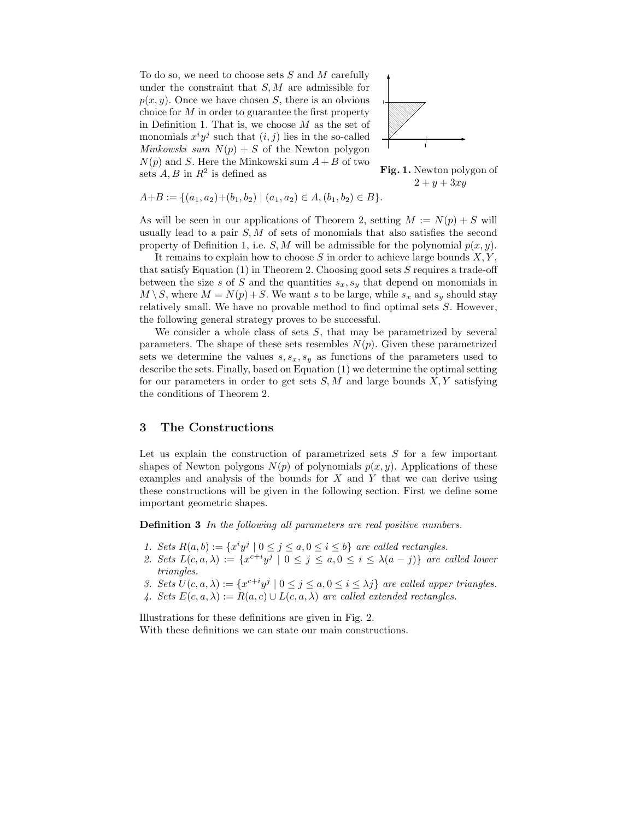To do so, we need to choose sets  $S$  and  $M$  carefully under the constraint that  $S, M$  are admissible for  $p(x, y)$ . Once we have chosen S, there is an obvious choice for  $M$  in order to guarantee the first property in Definition 1. That is, we choose  $M$  as the set of monomials  $x^i y^j$  such that  $(i, j)$  lies in the so-called Minkowski sum  $N(p) + S$  of the Newton polygon  $N(p)$  and S. Here the Minkowski sum  $A + B$  of two sets  $A, B$  in  $R^2$  is defined as



Fig. 1. Newton polygon of  $2 + y + 3xy$ 

$$
A+B := \{(a_1, a_2) + (b_1, b_2) \mid (a_1, a_2) \in A, (b_1, b_2) \in B\}.
$$

As will be seen in our applications of Theorem 2, setting  $M := N(p) + S$  will usually lead to a pair  $S, M$  of sets of monomials that also satisfies the second property of Definition 1, i.e.  $S, M$  will be admissible for the polynomial  $p(x, y)$ .

It remains to explain how to choose S in order to achieve large bounds  $X, Y$ , that satisfy Equation (1) in Theorem 2. Choosing good sets S requires a trade-off between the size s of S and the quantities  $s_x, s_y$  that depend on monomials in  $M \setminus S$ , where  $M = N(p) + S$ . We want s to be large, while  $s_x$  and  $s_y$  should stay relatively small. We have no provable method to find optimal sets S. However, the following general strategy proves to be successful.

We consider a whole class of sets  $S$ , that may be parametrized by several parameters. The shape of these sets resembles  $N(p)$ . Given these parametrized sets we determine the values  $s, s_x, s_y$  as functions of the parameters used to describe the sets. Finally, based on Equation (1) we determine the optimal setting for our parameters in order to get sets  $S, M$  and large bounds  $X, Y$  satisfying the conditions of Theorem 2.

### 3 The Constructions

Let us explain the construction of parametrized sets  $S$  for a few important shapes of Newton polygons  $N(p)$  of polynomials  $p(x, y)$ . Applications of these examples and analysis of the bounds for  $X$  and  $Y$  that we can derive using these constructions will be given in the following section. First we define some important geometric shapes.

Definition 3 In the following all parameters are real positive numbers.

- 1. Sets  $R(a, b) := \{x^i y^j \mid 0 \le j \le a, 0 \le i \le b\}$  are called rectangles.
- 2. Sets  $L(c, a, \lambda) := \{x^{c+i}y^j \mid 0 \le j \le a, 0 \le i \le \lambda(a-j)\}\$  are called lower triangles.
- 3. Sets  $U(c, a, \lambda) := \{x^{c+i}y^j \mid 0 \le j \le a, 0 \le i \le \lambda j\}$  are called upper triangles.
- 4. Sets  $E(c, a, \lambda) := R(a, c) \cup L(c, a, \lambda)$  are called extended rectangles.

Illustrations for these definitions are given in Fig. 2. With these definitions we can state our main constructions.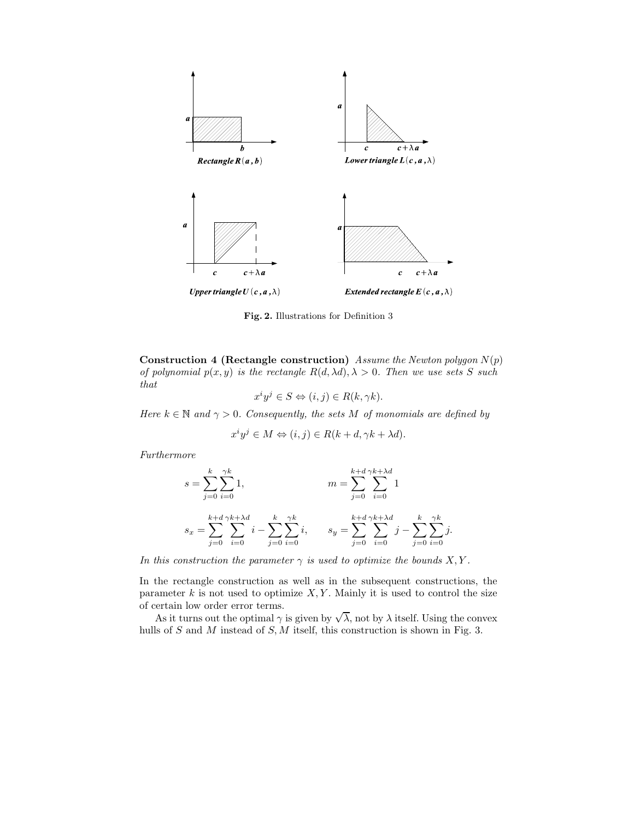

Fig. 2. Illustrations for Definition 3

Construction 4 (Rectangle construction) Assume the Newton polygon  $N(p)$ of polynomial  $p(x, y)$  is the rectangle  $R(d, \lambda d), \lambda > 0$ . Then we use sets S such that

$$
x^i y^j \in S \Leftrightarrow (i, j) \in R(k, \gamma k).
$$

Here  $k \in \mathbb{N}$  and  $\gamma > 0$ . Consequently, the sets M of monomials are defined by

$$
x^i y^j \in M \Leftrightarrow (i, j) \in R(k + d, \gamma k + \lambda d).
$$

Furthermore

$$
s = \sum_{j=0}^{k} \sum_{i=0}^{\gamma k} 1,
$$
  
\n
$$
s_x = \sum_{j=0}^{k+d} \sum_{i=0}^{\gamma k + \lambda d} i - \sum_{j=0}^{k} \sum_{i=0}^{\gamma k} i,
$$
  
\n
$$
s_y = \sum_{j=0}^{k+d} \sum_{i=0}^{\gamma k + \lambda d} j - \sum_{j=0}^{k} \sum_{i=0}^{\gamma k} j.
$$

In this construction the parameter  $\gamma$  is used to optimize the bounds X, Y.

In the rectangle construction as well as in the subsequent constructions, the parameter  $k$  is not used to optimize  $X, Y$ . Mainly it is used to control the size of certain low order error terms.

As it turns out the optimal  $\gamma$  is given by  $\sqrt{\lambda}$ , not by  $\lambda$  itself. Using the convex hulls of S and M instead of S, M itself, this construction is shown in Fig. 3.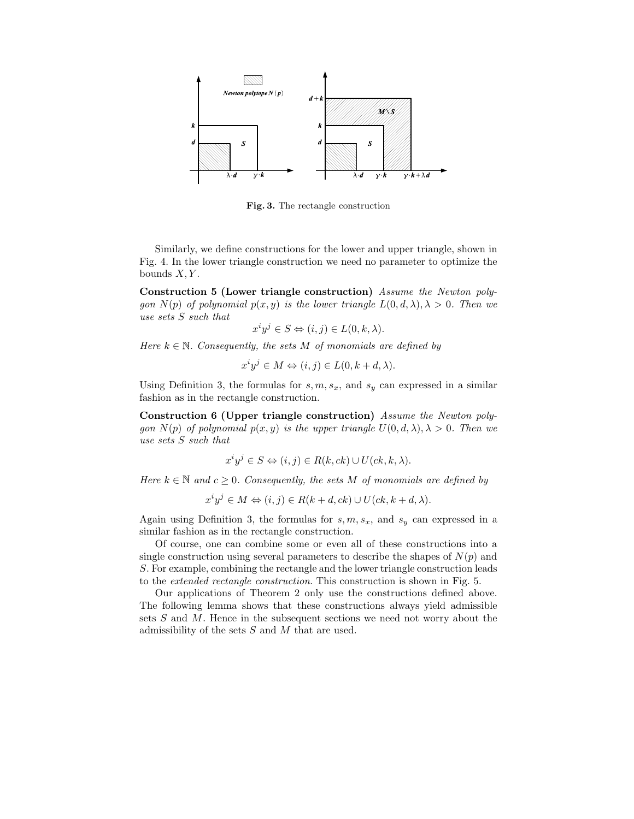

Fig. 3. The rectangle construction

Similarly, we define constructions for the lower and upper triangle, shown in Fig. 4. In the lower triangle construction we need no parameter to optimize the bounds  $X, Y$ .

Construction 5 (Lower triangle construction) Assume the Newton polygon  $N(p)$  of polynomial  $p(x, y)$  is the lower triangle  $L(0, d, \lambda), \lambda > 0$ . Then we use sets S such that

$$
x^i y^j \in S \Leftrightarrow (i, j) \in L(0, k, \lambda).
$$

Here  $k \in \mathbb{N}$ . Consequently, the sets M of monomials are defined by

$$
x^i y^j \in M \Leftrightarrow (i, j) \in L(0, k + d, \lambda).
$$

Using Definition 3, the formulas for  $s, m, s_x$ , and  $s_y$  can expressed in a similar fashion as in the rectangle construction.

Construction 6 (Upper triangle construction) Assume the Newton polygon  $N(p)$  of polynomial  $p(x, y)$  is the upper triangle  $U(0, d, \lambda), \lambda > 0$ . Then we use sets S such that

$$
x^i y^j \in S \Leftrightarrow (i, j) \in R(k, ck) \cup U(ck, k, \lambda).
$$

Here  $k \in \mathbb{N}$  and  $c \geq 0$ . Consequently, the sets M of monomials are defined by

$$
x^i y^j \in M \Leftrightarrow (i, j) \in R(k+d, ck) \cup U(ck, k+d, \lambda).
$$

Again using Definition 3, the formulas for  $s, m, s_x$ , and  $s_y$  can expressed in a similar fashion as in the rectangle construction.

Of course, one can combine some or even all of these constructions into a single construction using several parameters to describe the shapes of  $N(p)$  and S. For example, combining the rectangle and the lower triangle construction leads to the extended rectangle construction. This construction is shown in Fig. 5.

Our applications of Theorem 2 only use the constructions defined above. The following lemma shows that these constructions always yield admissible sets S and M. Hence in the subsequent sections we need not worry about the admissibility of the sets  $S$  and  $M$  that are used.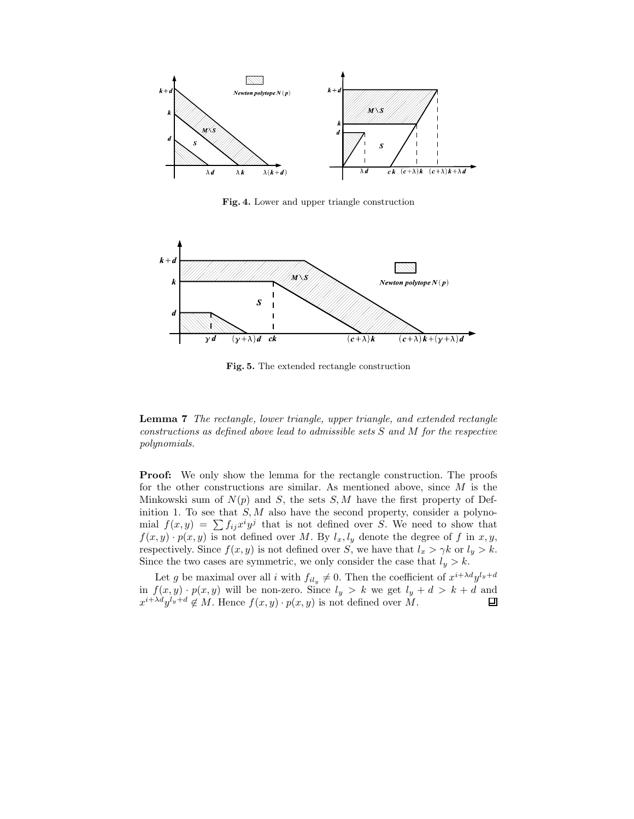

Fig. 4. Lower and upper triangle construction



Fig. 5. The extended rectangle construction

Lemma 7 The rectangle, lower triangle, upper triangle, and extended rectangle constructions as defined above lead to admissible sets S and M for the respective polynomials.

Proof: We only show the lemma for the rectangle construction. The proofs for the other constructions are similar. As mentioned above, since  $M$  is the Minkowski sum of  $N(p)$  and S, the sets  $S, M$  have the first property of Definition 1. To see that  $S, M$  also have the second property, consider a polynomial  $f(x,y) = \sum f_{ij} x^i y^j$  that is not defined over S. We need to show that  $f(x, y) \cdot p(x, y)$  is not defined over M. By  $l_x, l_y$  denote the degree of f in  $x, y$ , respectively. Since  $f(x, y)$  is not defined over S, we have that  $l_x > \gamma k$  or  $l_y > k$ . Since the two cases are symmetric, we only consider the case that  $l_y > k$ .

Let g be maximal over all i with  $f_{il_y} \neq 0$ . Then the coefficient of  $x^{i+\lambda d}y^{l_y+d}$ in  $f(x, y) \cdot p(x, y)$  will be non-zero. Since  $l_y > k$  we get  $l_y + d > k + d$  and  $x^{i+\lambda d}y^{l_y+d} \notin M$ . Hence  $f(x, y) \cdot p(x, y)$  is not defined over M.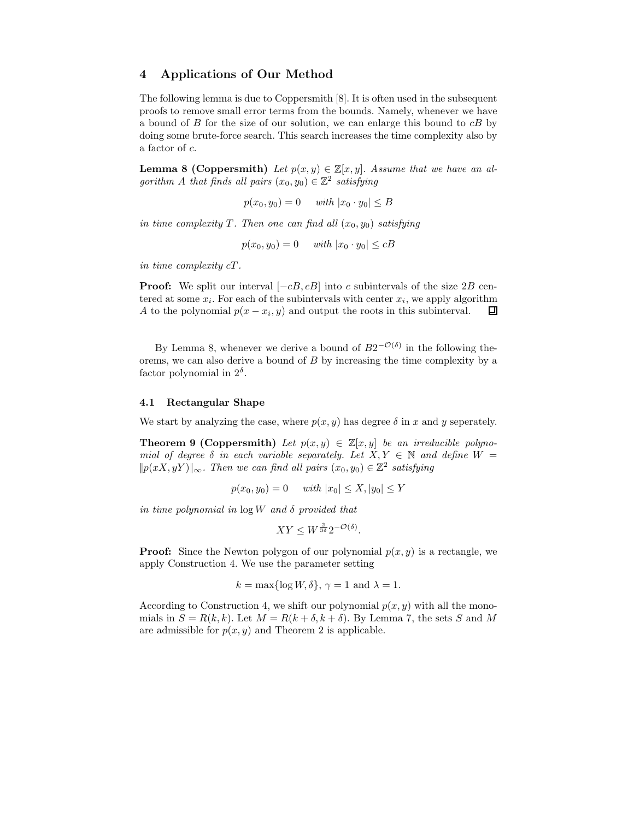# 4 Applications of Our Method

The following lemma is due to Coppersmith [8]. It is often used in the subsequent proofs to remove small error terms from the bounds. Namely, whenever we have a bound of  $B$  for the size of our solution, we can enlarge this bound to  $cB$  by doing some brute-force search. This search increases the time complexity also by a factor of c.

**Lemma 8 (Coppersmith)** Let  $p(x, y) \in \mathbb{Z}[x, y]$ . Assume that we have an algorithm A that finds all pairs  $(x_0, y_0) \in \mathbb{Z}^2$  satisfying

$$
p(x_0, y_0) = 0 \quad \text{ with } |x_0 \cdot y_0| \leq B
$$

in time complexity T. Then one can find all  $(x_0, y_0)$  satisfying

 $p(x_0, y_0) = 0$  with  $|x_0 \cdot y_0| \leq cB$ 

in time complexity cT.

**Proof:** We split our interval  $[-cB, cB]$  into c subintervals of the size 2B centered at some  $x_i$ . For each of the subintervals with center  $x_i$ , we apply algorithm A to the polynomial  $p(x - x_i, y)$  and output the roots in this subinterval. 口

By Lemma 8, whenever we derive a bound of  $B2^{-\mathcal{O}(\delta)}$  in the following theorems, we can also derive a bound of B by increasing the time complexity by a factor polynomial in  $2^{\delta}$ .

### 4.1 Rectangular Shape

We start by analyzing the case, where  $p(x, y)$  has degree  $\delta$  in x and y seperately.

**Theorem 9 (Coppersmith)** Let  $p(x, y) \in \mathbb{Z}[x, y]$  be an irreducible polynomial of degree  $\delta$  in each variable separately. Let  $X, Y \in \mathbb{N}$  and define  $W =$  $||p(xX, yY)||_{\infty}$ . Then we can find all pairs  $(x_0, y_0) \in \mathbb{Z}^2$  satisfying

$$
p(x_0, y_0) = 0
$$
 with  $|x_0| \le X, |y_0| \le Y$ 

in time polynomial in  $\log W$  and  $\delta$  provided that

$$
XY \le W^{\frac{2}{3\delta}} 2^{-\mathcal{O}(\delta)}.
$$

**Proof:** Since the Newton polygon of our polynomial  $p(x, y)$  is a rectangle, we apply Construction 4. We use the parameter setting

$$
k = \max\{\log W, \delta\}, \gamma = 1 \text{ and } \lambda = 1.
$$

According to Construction 4, we shift our polynomial  $p(x, y)$  with all the monomials in  $S = R(k, k)$ . Let  $M = R(k + \delta, k + \delta)$ . By Lemma 7, the sets S and M are admissible for  $p(x, y)$  and Theorem 2 is applicable.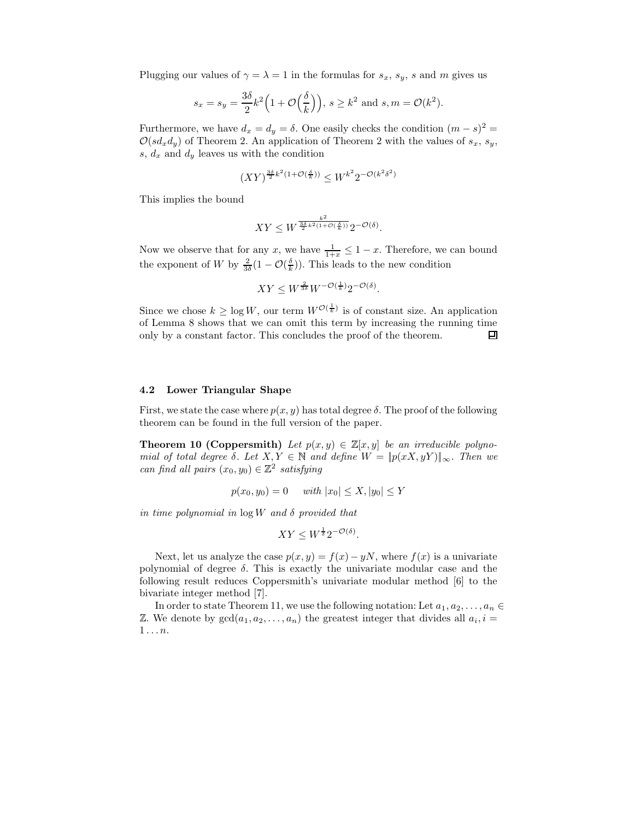Plugging our values of  $\gamma = \lambda = 1$  in the formulas for  $s_x$ ,  $s_y$ , s and m gives us

$$
s_x = s_y = \frac{3\delta}{2}k^2\left(1 + \mathcal{O}\left(\frac{\delta}{k}\right)\right), s \ge k^2 \text{ and } s, m = \mathcal{O}(k^2).
$$

Furthermore, we have  $d_x = d_y = \delta$ . One easily checks the condition  $(m - s)^2 =$  $\mathcal{O}(s d_x d_y)$  of Theorem 2. An application of Theorem 2 with the values of  $s_x, s_y$ , s,  $d_x$  and  $d_y$  leaves us with the condition

$$
(XY)^{\frac{3\delta}{2}k^2(1+\mathcal{O}(\frac{\delta}{k}))}\leq W^{k^2}2^{-\mathcal{O}(k^2\delta^2)}
$$

This implies the bound

$$
XY \le W^{\frac{k^2}{2^{k^2(1+\mathcal{O}(\frac{\delta}{k}))}}} 2^{-\mathcal{O}(\delta)}.
$$

Now we observe that for any x, we have  $\frac{1}{1+x} \leq 1-x$ . Therefore, we can bound the exponent of W by  $\frac{2}{3\delta}(1-\mathcal{O}(\frac{\delta}{k}))$ . This leads to the new condition

$$
XY \le W^{\frac{2}{3\delta}} W^{-\mathcal{O}(\frac{1}{k})} 2^{-\mathcal{O}(\delta)}.
$$

Since we chose  $k \geq \log W$ , our term  $W^{\mathcal{O}(\frac{1}{k})}$  is of constant size. An application of Lemma 8 shows that we can omit this term by increasing the running time only by a constant factor. This concludes the proof of the theorem. 回

### 4.2 Lower Triangular Shape

First, we state the case where  $p(x, y)$  has total degree  $\delta$ . The proof of the following theorem can be found in the full version of the paper.

**Theorem 10 (Coppersmith)** Let  $p(x, y) \in \mathbb{Z}[x, y]$  be an irreducible polynomial of total degree  $\delta$ . Let  $X, Y \in \mathbb{N}$  and define  $W = ||p(xX, yY)||_{\infty}$ . Then we can find all pairs  $(x_0, y_0) \in \mathbb{Z}^2$  satisfying

$$
p(x_0, y_0) = 0
$$
 with  $|x_0| \le X$ ,  $|y_0| \le Y$ 

in time polynomial in  $\log W$  and  $\delta$  provided that

$$
XY \le W^{\frac{1}{\delta}} 2^{-\mathcal{O}(\delta)}.
$$

Next, let us analyze the case  $p(x, y) = f(x) - yN$ , where  $f(x)$  is a univariate polynomial of degree  $\delta$ . This is exactly the univariate modular case and the following result reduces Coppersmith's univariate modular method [6] to the bivariate integer method [7].

In order to state Theorem 11, we use the following notation: Let  $a_1, a_2, \ldots, a_n \in$ Z. We denote by  $gcd(a_1, a_2, \ldots, a_n)$  the greatest integer that divides all  $a_i, i =$  $1 \ldots n$ .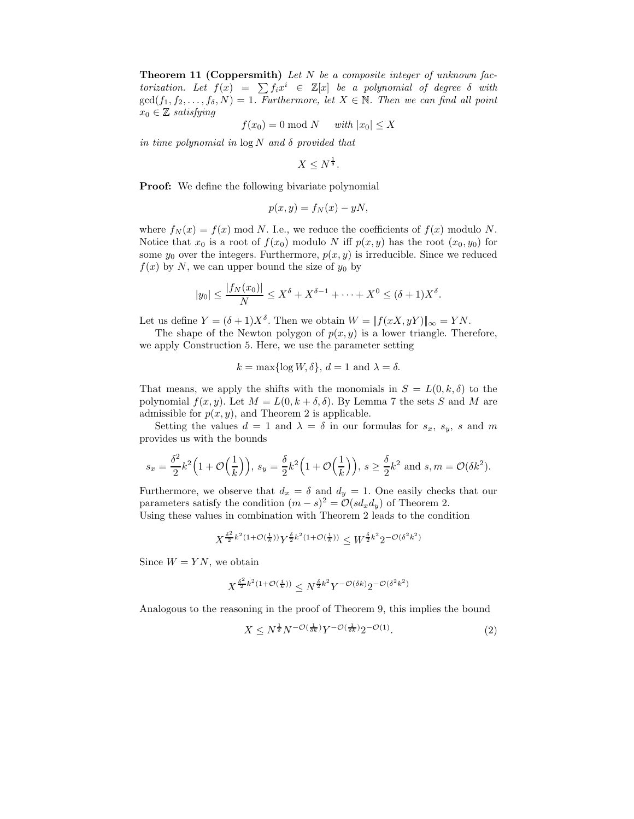**Theorem 11 (Coppersmith)** Let  $N$  be a composite integer of unknown factorization. Let  $f(x) = \sum f_i x^i \in \mathbb{Z}[x]$  be a polynomial of degree  $\delta$  with  $gcd(f_1, f_2, \ldots, f_\delta, N) = 1$ . Furthermore, let  $X \in \mathbb{N}$ . Then we can find all point  $x_0 \in \mathbb{Z}$  satisfying

$$
f(x_0) = 0 \bmod N \quad \text{ with } |x_0| \le X
$$

in time polynomial in  $\log N$  and  $\delta$  provided that

 $X \leq N^{\frac{1}{\delta}}$ .

**Proof:** We define the following bivariate polynomial

$$
p(x, y) = f_N(x) - yN,
$$

where  $f_N(x) = f(x) \text{ mod } N$ . I.e., we reduce the coefficients of  $f(x)$  modulo N. Notice that  $x_0$  is a root of  $f(x_0)$  modulo N iff  $p(x, y)$  has the root  $(x_0, y_0)$  for some  $y_0$  over the integers. Furthermore,  $p(x, y)$  is irreducible. Since we reduced  $f(x)$  by N, we can upper bound the size of  $y_0$  by

$$
|y_0| \le \frac{|f_N(x_0)|}{N} \le X^{\delta} + X^{\delta - 1} + \dots + X^0 \le (\delta + 1)X^{\delta}.
$$

Let us define  $Y = (\delta + 1)X^{\delta}$ . Then we obtain  $W = ||f(xX, yY)||_{\infty} = YN$ .

The shape of the Newton polygon of  $p(x, y)$  is a lower triangle. Therefore, we apply Construction 5. Here, we use the parameter setting

 $k = \max\{\log W, \delta\}, d = 1 \text{ and } \lambda = \delta.$ 

That means, we apply the shifts with the monomials in  $S = L(0, k, \delta)$  to the polynomial  $f(x, y)$ . Let  $M = L(0, k + \delta, \delta)$ . By Lemma 7 the sets S and M are admissible for  $p(x, y)$ , and Theorem 2 is applicable.

Setting the values  $d = 1$  and  $\lambda = \delta$  in our formulas for  $s_x$ ,  $s_y$ , s and m provides us with the bounds

$$
s_x = \frac{\delta^2}{2}k^2\Big(1+\mathcal{O}\Big(\frac{1}{k}\Big)\Big),\, s_y = \frac{\delta}{2}k^2\Big(1+\mathcal{O}\Big(\frac{1}{k}\Big)\Big),\, s\geq \frac{\delta}{2}k^2\,\,\text{and}\,\, s,m = \mathcal{O}(\delta k^2).
$$

Furthermore, we observe that  $d_x = \delta$  and  $d_y = 1$ . One easily checks that our parameters satisfy the condition  $(m - s)^2 = \mathcal{O}(s d_x d_y)$  of Theorem 2.

Using these values in combination with Theorem 2 leads to the condition

$$
X^{\frac{\delta^2}{2}k^2(1+\mathcal{O}(\frac{1}{k}))} Y^{\frac{\delta}{2}k^2(1+\mathcal{O}(\frac{1}{k}))} \leq W^{\frac{\delta}{2}k^2} 2^{-\mathcal{O}(\delta^2k^2)}
$$

Since  $W = YN$ , we obtain

$$
X^{\frac{\delta^2}{2}k^2(1+\mathcal{O}(\frac{1}{k}))} \leq N^{\frac{\delta}{2}k^2} Y^{-\mathcal{O}(\delta k)} 2^{-\mathcal{O}(\delta^2 k^2)}
$$

Analogous to the reasoning in the proof of Theorem 9, this implies the bound

$$
X \le N^{\frac{1}{\delta}} N^{-\mathcal{O}\left(\frac{1}{\delta k}\right)} Y^{-\mathcal{O}\left(\frac{1}{\delta k}\right)} 2^{-\mathcal{O}\left(1\right)}.
$$
 (2)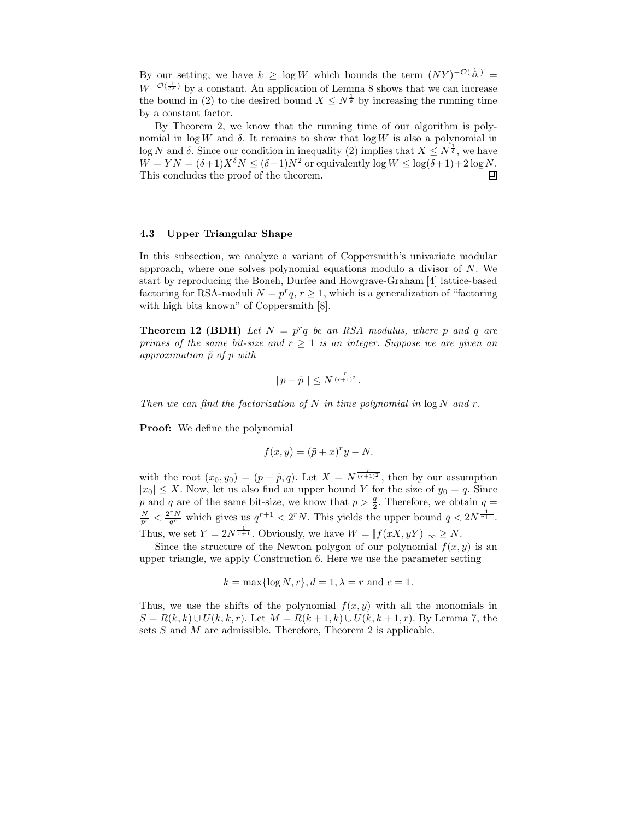By our setting, we have  $k \geq \log W$  which bounds the term  $(NY)^{-\mathcal{O}(\frac{1}{\delta k})}$  $W^{-\mathcal{O}(\frac{1}{\delta k})}$  by a constant. An application of Lemma 8 shows that we can increase the bound in (2) to the desired bound  $X \leq N^{\frac{1}{\delta}}$  by increasing the running time by a constant factor.

By Theorem 2, we know that the running time of our algorithm is polynomial in  $\log W$  and  $\delta$ . It remains to show that  $\log W$  is also a polynomial in log N and  $\delta$ . Since our condition in inequality (2) implies that  $X \leq N^{\frac{1}{\delta}}$ , we have  $W = YN = (\delta+1)X^{\delta}N \leq (\delta+1)N^2$  or equivalently log  $W \leq \log(\delta+1)+2\log N$ .<br>This concludes the proof of the theorem. This concludes the proof of the theorem.

#### 4.3 Upper Triangular Shape

In this subsection, we analyze a variant of Coppersmith's univariate modular approach, where one solves polynomial equations modulo a divisor of N. We start by reproducing the Boneh, Durfee and Howgrave-Graham [4] lattice-based factoring for RSA-moduli  $N = p^r q$ ,  $r \ge 1$ , which is a generalization of "factoring" with high bits known" of Coppersmith [8].

**Theorem 12 (BDH)** Let  $N = p^r q$  be an RSA modulus, where p and q are primes of the same bit-size and  $r \geq 1$  is an integer. Suppose we are given an approximation  $\tilde{p}$  of p with

$$
|p-\tilde{p}|\leq N^{\frac{r}{(r+1)^2}}.
$$

Then we can find the factorization of N in time polynomial in  $\log N$  and r.

**Proof:** We define the polynomial

$$
f(x, y) = (\tilde{p} + x)^{r}y - N.
$$

with the root  $(x_0, y_0) = (p - \tilde{p}, q)$ . Let  $X = N^{\frac{r}{(r+1)^2}}$ , then by our assumption  $|x_0| \leq X$ . Now, let us also find an upper bound Y for the size of  $y_0 = q$ . Since p and q are of the same bit-size, we know that  $p > \frac{q}{2}$ . Therefore, we obtain  $q =$  $\frac{N}{p^r} < \frac{2^r N}{q^r}$  which gives us  $q^{r+1} < 2^r N$ . This yields the upper bound  $q < 2N^{\frac{1}{r+1}}$ . Thus, we set  $Y = 2N^{\frac{1}{r+1}}$ . Obviously, we have  $W = ||f(xX, yY)||_{\infty} \ge N$ .

Since the structure of the Newton polygon of our polynomial  $f(x, y)$  is an upper triangle, we apply Construction 6. Here we use the parameter setting

$$
k = \max\{\log N, r\}, d = 1, \lambda = r \text{ and } c = 1.
$$

Thus, we use the shifts of the polynomial  $f(x, y)$  with all the monomials in  $S = R(k, k) \cup U(k, k, r)$ . Let  $M = R(k + 1, k) \cup U(k, k + 1, r)$ . By Lemma 7, the sets  $S$  and  $M$  are admissible. Therefore, Theorem 2 is applicable.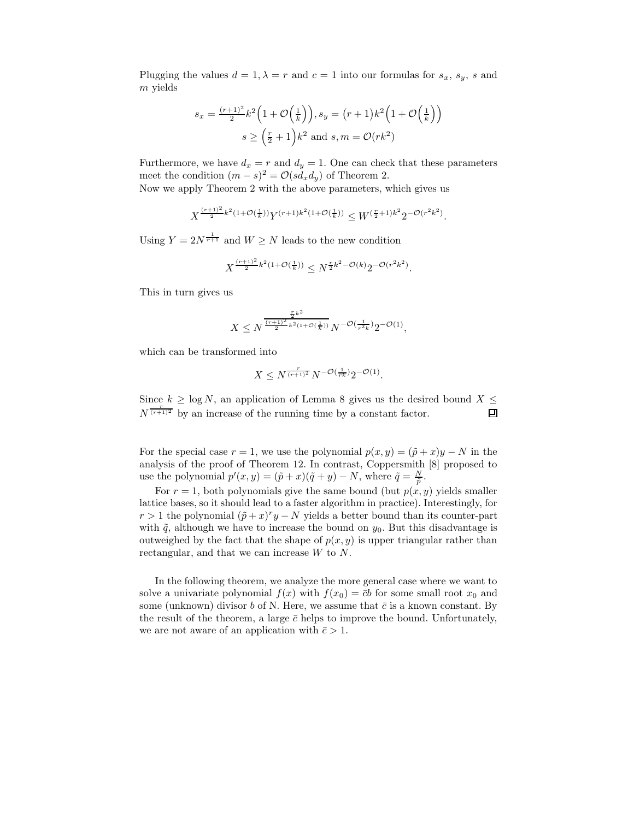Plugging the values  $d = 1, \lambda = r$  and  $c = 1$  into our formulas for  $s_x$ ,  $s_y$ , s and m yields

$$
s_x = \frac{(r+1)^2}{2}k^2\left(1+\mathcal{O}\left(\frac{1}{k}\right)\right), s_y = (r+1)k^2\left(1+\mathcal{O}\left(\frac{1}{k}\right)\right)
$$

$$
s \ge \left(\frac{r}{2}+1\right)k^2 \text{ and } s, m = \mathcal{O}(rk^2)
$$

Furthermore, we have  $d_x = r$  and  $d_y = 1$ . One can check that these parameters meet the condition  $(m - s)^2 = \mathcal{O}(s d_x d_y)$  of Theorem 2.

Now we apply Theorem 2 with the above parameters, which gives us

$$
X^{\frac{(r+1)^2}{2}k^2(1+\mathcal{O}(\frac{1}{k}))}Y^{(r+1)k^2(1+\mathcal{O}(\frac{1}{k}))} \leq W^{(\frac{r}{2}+1)k^2}2^{-\mathcal{O}(r^2k^2)}.
$$

Using  $Y = 2N^{\frac{1}{r+1}}$  and  $W \ge N$  leads to the new condition

$$
X^{\frac{(r+1)^2}{2}k^2(1+\mathcal{O}(\frac{1}{k}))} \leq N^{\frac{r}{2}k^2-\mathcal{O}(k)}2^{-\mathcal{O}(r^2k^2)}.
$$

This in turn gives us

$$
X \le N^{\frac{\frac{r}{2}k^2}{(r+1)^2} \frac{1}{k^2(1+\mathcal{O}(\frac{1}{k}))}} N^{-\mathcal{O}(\frac{1}{r^2k})} 2^{-\mathcal{O}(1)},
$$

which can be transformed into

$$
X \le N^{\frac{r}{(r+1)^2}} N^{-\mathcal{O}(\frac{1}{rk})} 2^{-\mathcal{O}(1)}.
$$

Since  $k \geq \log N$ , an application of Lemma 8 gives us the desired bound  $X \leq N^{\frac{r}{(r+1)^2}}$  by an increase of the running time by a constant factor.  $N^{\frac{r}{(r+1)^2}}$  by an increase of the running time by a constant factor.

For the special case  $r = 1$ , we use the polynomial  $p(x, y) = (\tilde{p} + x)y - N$  in the analysis of the proof of Theorem 12. In contrast, Coppersmith [8] proposed to use the polynomial  $p'(x, y) = (\tilde{p} + x)(\tilde{q} + y) - N$ , where  $\tilde{q} = \frac{N}{\tilde{p}}$ .

For  $r = 1$ , both polynomials give the same bound (but  $p(x, y)$  yields smaller lattice bases, so it should lead to a faster algorithm in practice). Interestingly, for  $r > 1$  the polynomial  $(\tilde{p} + x)^r y - N$  yields a better bound than its counter-part with  $\tilde{q}$ , although we have to increase the bound on  $y_0$ . But this disadvantage is outweighed by the fact that the shape of  $p(x, y)$  is upper triangular rather than rectangular, and that we can increase W to N.

In the following theorem, we analyze the more general case where we want to solve a univariate polynomial  $f(x)$  with  $f(x_0) = \overline{c}b$  for some small root  $x_0$  and some (unknown) divisor b of N. Here, we assume that  $\bar{c}$  is a known constant. By the result of the theorem, a large  $\bar{c}$  helps to improve the bound. Unfortunately, we are not aware of an application with  $\bar{c} > 1$ .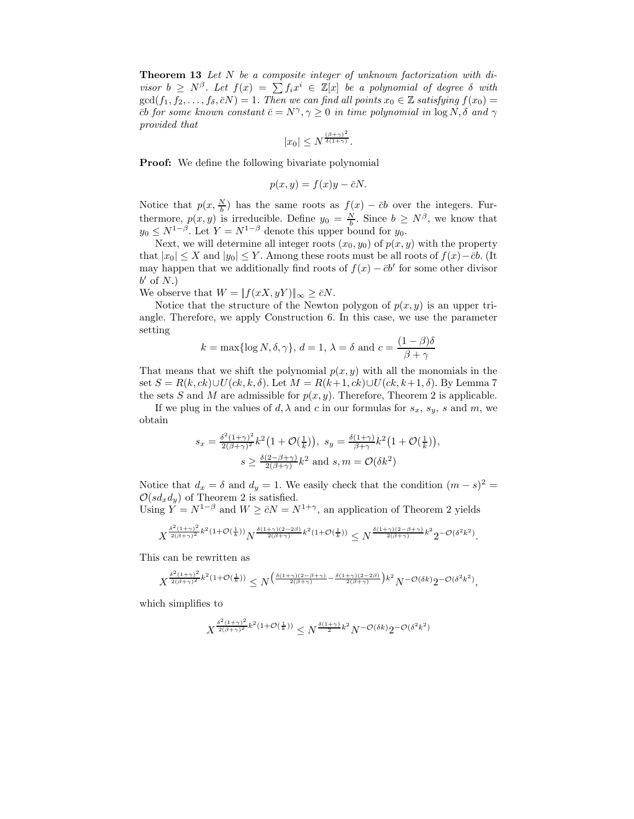Theorem 13 Let N be a composite integer of unknown factorization with divisor  $b \geq N^{\beta}$ . Let  $f(x) = \sum f_i x^i \in \mathbb{Z}[x]$  be a polynomial of degree  $\delta$  with  $gcd(f_1, f_2, \ldots, f_\delta, \overline{c}N) = 1$ . Then we can find all points  $x_0 \in \mathbb{Z}$  satisfying  $f(x_0) =$  $\bar{c}b$  for some known constant  $\bar{c} = N^{\gamma}, \gamma \geq 0$  in time polynomial in  $\log N, \delta$  and  $\gamma$ provided that

$$
|x_0| \le N^{\frac{(\beta+\gamma)^2}{\delta(1+\gamma)}}.
$$

**Proof:** We define the following bivariate polynomial

$$
p(x, y) = f(x)y - \bar{c}N.
$$

Notice that  $p(x, \frac{N}{b})$  has the same roots as  $f(x) - \bar{c}b$  over the integers. Furthermore,  $p(x, y)$  is irreducible. Define  $y_0 = \frac{N}{b}$ . Since  $b \ge N^{\beta}$ , we know that  $y_0 \leq N^{1-\beta}$ . Let  $Y = N^{1-\beta}$  denote this upper bound for  $y_0$ .

Next, we will determine all integer roots  $(x_0, y_0)$  of  $p(x, y)$  with the property that  $|x_0| \leq X$  and  $|y_0| \leq Y$ . Among these roots must be all roots of  $f(x) - \bar{c}b$ . (It may happen that we additionally find roots of  $f(x) - \bar{c}b'$  for some other divisor  $b'$  of  $N$ .)

We observe that  $W = ||f(xX, yY)||_{\infty} \ge \bar{c}N$ .

Notice that the structure of the Newton polygon of  $p(x, y)$  is an upper triangle. Therefore, we apply Construction 6. In this case, we use the parameter setting

$$
k = \max\{\log N, \delta, \gamma\}, d = 1, \lambda = \delta \text{ and } c = \frac{(1 - \beta)\delta}{\beta + \gamma}
$$

That means that we shift the polynomial  $p(x, y)$  with all the monomials in the set  $S = R(k, ck) \cup U(ck, k, \delta)$ . Let  $M = R(k+1, ck) \cup U(ck, k+1, \delta)$ . By Lemma 7 the sets S and M are admissible for  $p(x, y)$ . Therefore, Theorem 2 is applicable.

If we plug in the values of  $d, \lambda$  and c in our formulas for  $s_x$ ,  $s_y$ , s and m, we obtain

$$
s_x = \frac{\delta^2 (1+\gamma)^2}{2(\beta+\gamma)^2} k^2 \left(1 + \mathcal{O}(\frac{1}{k})\right), \ s_y = \frac{\delta(1+\gamma)}{\beta+\gamma} k^2 \left(1 + \mathcal{O}(\frac{1}{k})\right),
$$

$$
s \ge \frac{\delta(2-\beta+\gamma)}{2(\beta+\gamma)} k^2 \text{ and } s, m = \mathcal{O}(\delta k^2)
$$

Notice that  $d_x = \delta$  and  $d_y = 1$ . We easily check that the condition  $(m - s)^2 =$  $\mathcal{O}(s d_x d_y)$  of Theorem 2 is satisfied.

Using  $Y = N^{1-\beta}$  and  $W \ge \bar{c}N = N^{1+\gamma}$ , an application of Theorem 2 yields

$$
X^{\frac{\delta^2(1+\gamma)^2}{2(\beta+\gamma)^2}k^2(1+\mathcal{O}(\frac{1}{k}))}N^{\frac{\delta(1+\gamma)(2-2\beta)}{2(\beta+\gamma)}k^2(1+\mathcal{O}(\frac{1}{k}))} \leq N^{\frac{\delta(1+\gamma)(2-\beta+\gamma)}{2(\beta+\gamma)}k^2}2^{-\mathcal{O}(\delta^2k^2)}.
$$

This can be rewritten as

$$
X^{\frac{\delta^2(1+\gamma)^2}{2(\beta+\gamma)^2}k^2(1+\mathcal{O}(\frac{1}{k}))} \le N^{\left(\frac{\delta(1+\gamma)(2-\beta+\gamma)}{2(\beta+\gamma)} - \frac{\delta(1+\gamma)(2-2\beta)}{2(\beta+\gamma)}\right)k^2}N^{-\mathcal{O}(\delta k)}2^{-\mathcal{O}(\delta^2k^2)},
$$

which simplifies to

$$
X^{\frac{\delta^2(1+\gamma)^2}{2(\beta+\gamma)^2}k^2(1+\mathcal{O}(\frac{1}{k}))}\leq N^{\frac{\delta(1+\gamma)}{2}k^2}N^{-\mathcal{O}(\delta k)}2^{-\mathcal{O}(\delta^2k^2)}
$$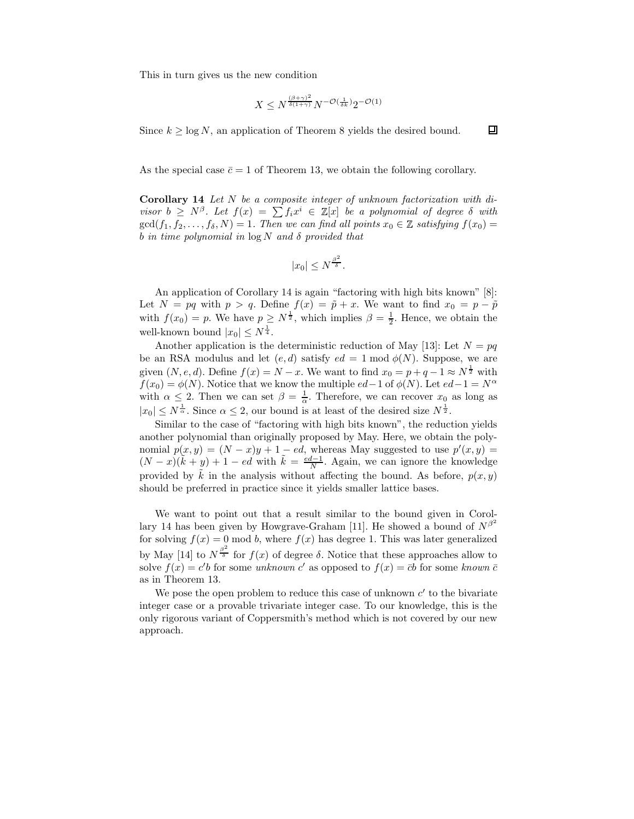This in turn gives us the new condition

$$
X \le N^{\frac{(\beta+\gamma)^2}{\delta(1+\gamma)}} N^{-\mathcal{O}\left(\frac{1}{\delta k}\right)} 2^{-\mathcal{O}(1)}
$$

Since  $k \geq \log N$ , an application of Theorem 8 yields the desired bound.

回

As the special case  $\bar{c} = 1$  of Theorem 13, we obtain the following corollary.

Corollary 14 Let N be a composite integer of unknown factorization with divisor  $b \geq N^{\beta}$ . Let  $f(x) = \sum f_i x^i \in \mathbb{Z}[x]$  be a polynomial of degree  $\delta$  with  $gcd(f_1, f_2, \ldots, f_\delta, N) = 1$ . Then we can find all points  $x_0 \in \mathbb{Z}$  satisfying  $f(x_0) =$ b in time polynomial in  $\log N$  and  $\delta$  provided that

$$
|x_0| \leq N^{\frac{\beta^2}{\delta}}.
$$

An application of Corollary 14 is again "factoring with high bits known" [8]: Let  $N = pq$  with  $p > q$ . Define  $f(x) = \tilde{p} + x$ . We want to find  $x_0 = p - \tilde{p}$ with  $f(x_0) = p$ . We have  $p \geq N^{\frac{1}{2}}$ , which implies  $\beta = \frac{1}{2}$ . Hence, we obtain the well-known bound  $|x_0| \leq N^{\frac{1}{4}}$ .

Another application is the deterministic reduction of May [13]: Let  $N = pq$ be an RSA modulus and let  $(e, d)$  satisfy  $ed = 1 \text{ mod } \phi(N)$ . Suppose, we are given  $(N, e, d)$ . Define  $f(x) = N - x$ . We want to find  $x_0 = p + q - 1 \approx N^{\frac{1}{2}}$  with  $f(x_0) = \phi(N)$ . Notice that we know the multiple  $ed-1$  of  $\phi(N)$ . Let  $ed-1 = N^{\alpha}$ with  $\alpha \leq 2$ . Then we can set  $\beta = \frac{1}{\alpha}$ . Therefore, we can recover  $x_0$  as long as  $|x_0| \leq N^{\frac{1}{\alpha}}$ . Since  $\alpha \leq 2$ , our bound is at least of the desired size  $N^{\frac{1}{2}}$ .

Similar to the case of "factoring with high bits known", the reduction yields another polynomial than originally proposed by May. Here, we obtain the polynomial  $p(x, y) = (N - x)y + 1 - ed$ , whereas May suggested to use  $p'(x, y) =$  $(N-x)(\tilde{k}+y)+1 - ed$  with  $\tilde{k} = \frac{ed-1}{N}$ . Again, we can ignore the knowledge provided by  $\tilde{k}$  in the analysis without affecting the bound. As before,  $p(x, y)$ should be preferred in practice since it yields smaller lattice bases.

We want to point out that a result similar to the bound given in Corollary 14 has been given by Howgrave-Graham [11]. He showed a bound of  $N^{\beta^2}$ for solving  $f(x) = 0$  mod b, where  $f(x)$  has degree 1. This was later generalized by May [14] to  $N^{\frac{\beta^2}{\delta}}$  for  $f(x)$  of degree  $\delta$ . Notice that these approaches allow to solve  $f(x) = c'b$  for some unknown c' as opposed to  $f(x) = \overline{c}b$  for some known  $\overline{c}$ as in Theorem 13.

We pose the open problem to reduce this case of unknown  $c'$  to the bivariate integer case or a provable trivariate integer case. To our knowledge, this is the only rigorous variant of Coppersmith's method which is not covered by our new approach.